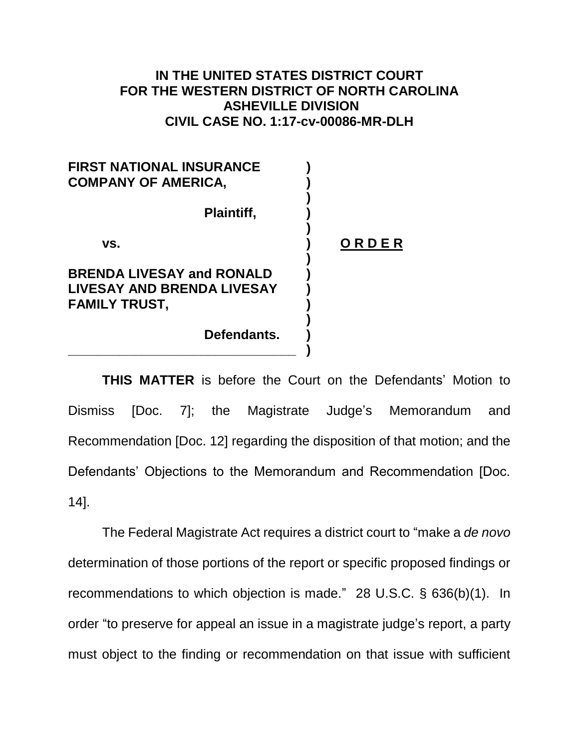## **IN THE UNITED STATES DISTRICT COURT FOR THE WESTERN DISTRICT OF NORTH CAROLINA ASHEVILLE DIVISION CIVIL CASE NO. 1:17-cv-00086-MR-DLH**

| <b>FIRST NATIONAL INSURANCE</b><br><b>COMPANY OF AMERICA.</b>                                 |       |
|-----------------------------------------------------------------------------------------------|-------|
| <b>Plaintiff,</b>                                                                             |       |
| VS.                                                                                           | ORDER |
| <b>BRENDA LIVESAY and RONALD</b><br><b>LIVESAY AND BRENDA LIVESAY</b><br><b>FAMILY TRUST,</b> |       |
| Defendants.                                                                                   |       |

**\_\_\_\_\_\_\_\_\_\_\_\_\_\_\_\_\_\_\_\_\_\_\_\_\_\_\_\_\_\_\_ )**

**THIS MATTER** is before the Court on the Defendants' Motion to Dismiss [Doc. 7]; the Magistrate Judge's Memorandum and Recommendation [Doc. 12] regarding the disposition of that motion; and the Defendants' Objections to the Memorandum and Recommendation [Doc. 14].

The Federal Magistrate Act requires a district court to "make a *de novo*  determination of those portions of the report or specific proposed findings or recommendations to which objection is made." 28 U.S.C. § 636(b)(1). In order "to preserve for appeal an issue in a magistrate judge's report, a party must object to the finding or recommendation on that issue with sufficient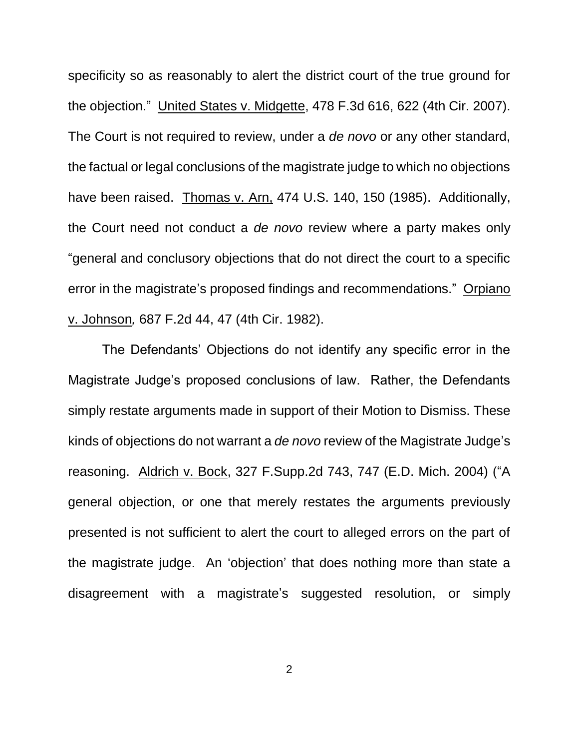specificity so as reasonably to alert the district court of the true ground for the objection." United States v. Midgette, 478 F.3d 616, 622 (4th Cir. 2007). The Court is not required to review, under a *de novo* or any other standard, the factual or legal conclusions of the magistrate judge to which no objections have been raised. Thomas v. Arn, 474 U.S. 140, 150 (1985). Additionally, the Court need not conduct a *de novo* review where a party makes only "general and conclusory objections that do not direct the court to a specific error in the magistrate's proposed findings and recommendations." Orpiano v. Johnson*,* 687 F.2d 44, 47 (4th Cir. 1982).

The Defendants' Objections do not identify any specific error in the Magistrate Judge's proposed conclusions of law. Rather, the Defendants simply restate arguments made in support of their Motion to Dismiss. These kinds of objections do not warrant a *de novo* review of the Magistrate Judge's reasoning. Aldrich v. Bock, 327 F.Supp.2d 743, 747 (E.D. Mich. 2004) ("A general objection, or one that merely restates the arguments previously presented is not sufficient to alert the court to alleged errors on the part of the magistrate judge. An 'objection' that does nothing more than state a disagreement with a magistrate's suggested resolution, or simply

2